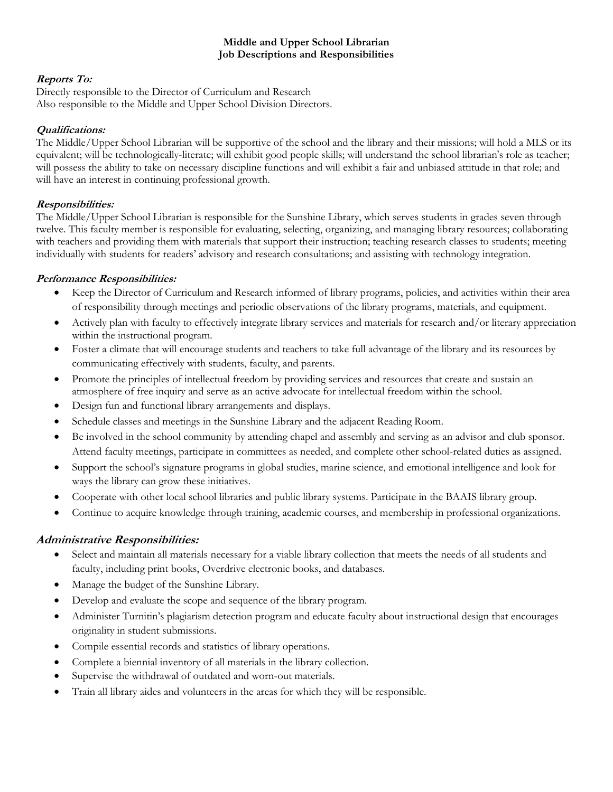#### **Middle and Upper School Librarian Job Descriptions and Responsibilities**

## **Reports To:**

Directly responsible to the Director of Curriculum and Research Also responsible to the Middle and Upper School Division Directors.

### **Qualifications:**

The Middle/Upper School Librarian will be supportive of the school and the library and their missions; will hold a MLS or its equivalent; will be technologically-literate; will exhibit good people skills; will understand the school librarian's role as teacher; will possess the ability to take on necessary discipline functions and will exhibit a fair and unbiased attitude in that role; and will have an interest in continuing professional growth.

#### **Responsibilities:**

The Middle/Upper School Librarian is responsible for the Sunshine Library, which serves students in grades seven through twelve. This faculty member is responsible for evaluating, selecting, organizing, and managing library resources; collaborating with teachers and providing them with materials that support their instruction; teaching research classes to students; meeting individually with students for readers' advisory and research consultations; and assisting with technology integration.

#### **Performance Responsibilities:**

- Keep the Director of Curriculum and Research informed of library programs, policies, and activities within their area of responsibility through meetings and periodic observations of the library programs, materials, and equipment.
- Actively plan with faculty to effectively integrate library services and materials for research and/or literary appreciation within the instructional program.
- Foster a climate that will encourage students and teachers to take full advantage of the library and its resources by communicating effectively with students, faculty, and parents.
- Promote the principles of intellectual freedom by providing services and resources that create and sustain an atmosphere of free inquiry and serve as an active advocate for intellectual freedom within the school.
- Design fun and functional library arrangements and displays.
- Schedule classes and meetings in the Sunshine Library and the adjacent Reading Room.
- Be involved in the school community by attending chapel and assembly and serving as an advisor and club sponsor. Attend faculty meetings, participate in committees as needed, and complete other school-related duties as assigned.
- Support the school's signature programs in global studies, marine science, and emotional intelligence and look for ways the library can grow these initiatives.
- Cooperate with other local school libraries and public library systems. Participate in the BAAIS library group.
- Continue to acquire knowledge through training, academic courses, and membership in professional organizations.

## **Administrative Responsibilities:**

- Select and maintain all materials necessary for a viable library collection that meets the needs of all students and faculty, including print books, Overdrive electronic books, and databases.
- Manage the budget of the Sunshine Library.
- Develop and evaluate the scope and sequence of the library program.
- Administer Turnitin's plagiarism detection program and educate faculty about instructional design that encourages originality in student submissions.
- Compile essential records and statistics of library operations.
- Complete a biennial inventory of all materials in the library collection.
- Supervise the withdrawal of outdated and worn-out materials.
- Train all library aides and volunteers in the areas for which they will be responsible.